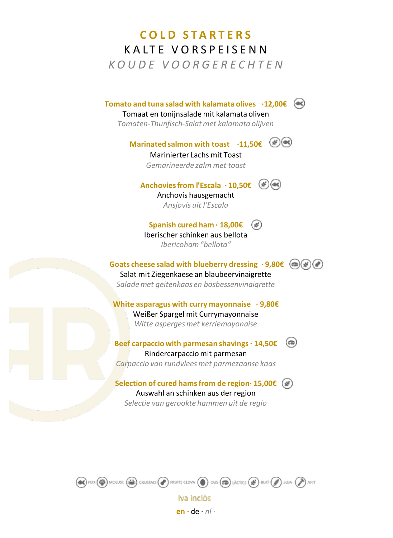# **C O L D S T A R T E R S** K A L T E V O R S P E I S E N N *K O U D E V O O R G E R E C H T E N*

**Tomato and tuna salad with kalamata olives ·12,00€**

#### Tomaat en tonijnsalade mit kalamata oliven

*Tomaten-Thunfisch-Salat met kalamata olijven*

**Marinated salmon with toast** ·11,50€ ( $\frac{45}{5}$ )( $\bullet$ 

Marinierter Lachs mit Toast *Gemarineerde zalm met toast*

**Anchovies from l'Escala · 10,50€**

Anchovis hausgemacht *Ansjovis uit l'Escala*

**Spanish cured ham · 18,00€** Iberischer schinken aus bellota *Ibericoham "bellota"*

**Goats cheese salad with blueberry dressing · 9,80€**  Salat mit Ziegenkaese an blaubeervinaigrette *Salade met geitenkaas en bosbessenvinaigrette*

**White asparagus with curry mayonnaise · 9,80€** Weißer Spargel mit Currymayonnaise *Witte asperges met kerriemayonaise*

**Beef carpaccio with parmesan shavings· 14,50€**  Rindercarpaccio mit parmesan *Carpaccio van rundvlees met parmezaanse kaas*

**Selection of cured hams from de region· 15,00€** Auswahl an schinken aus der region *Selectie van gerookte hammen uit de regio*



**en ·** de · *nl ·*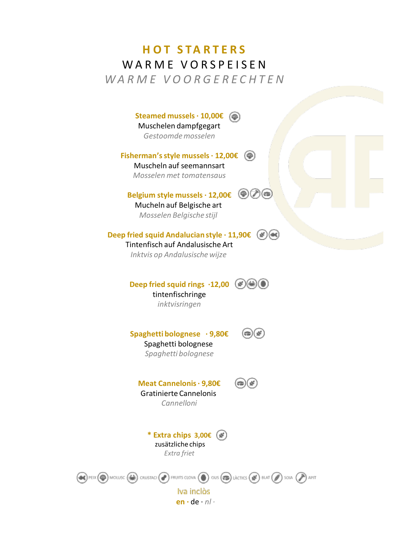### **H O T S T A R T E R S** WARME VORSPEISEN *W A R M E V O O R G E R E C H T E N*

**Steamed mussels · 10,00€** Muschelen dampfgegart *Gestoomdemosselen*

**Fisherman'sstyle mussels· 12,00€** Muscheln auf seemannsart *Mosselen met tomatensaus*

**Belgium style mussels · 12,00€** Mucheln auf Belgische art *Mosselen Belgische stijl* 

**Deep fried squid Andalucian style · 11,90€** Tintenfisch auf Andalusische Art

*Inktvis op Andalusische wijze*

**Deep fried squid rings**  $\cdot$ **12,00**  $(\%)$ tintenfischringe *inktvisringen*

 $\circledast$ **Spaghetti bolognese · 9,80€** Spaghetti bolognese *Spaghetti bolognese*

 $\textcircled{\tiny \textcircled{\tiny \#}}$ 

**Meat Cannelonis· 9,80€** Gratinierte Cannelonis *Cannelloni*

> **\* Extra chips 3,00€** zusätzliche chips *Extra friet*

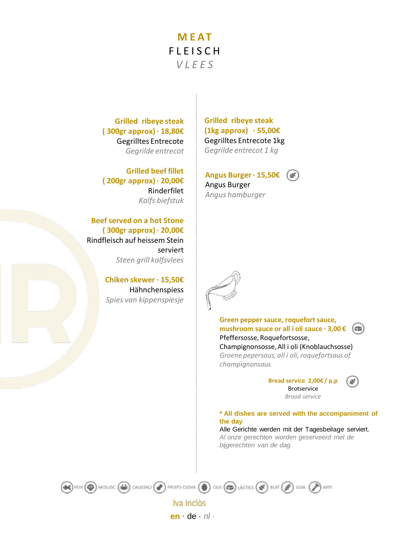## **M E A T FLEISCH** *V L E E S*

**Grilled ribeye steak ( 300gr approx) · 18,80€** Gegrilltes Entrecote *Gegrilde entrecot*

**Grilled beef fillet ( 200gr approx) · 20,00€** Rinderfilet *Kalfs biefstuk*

**Beef served on a hot Stone ( 300gr approx) · 20,00€** Rindfleisch auf heissem Stein serviert *Steen grill kalfsvlees*

> **Chiken skewer · 15,50€** Hähnchenspiess *Spies van kippenspiesje*

**Grilled ribeye steak (1kg approx) · 55,00€** Gegrilltes Entrecote 1kg *Gegrilde entrecot 1 kg*

**Angus Burger · 15,50€** Angus Burger *Angus hamburger*



**Green pepper sauce, roquefort sauce, mushroom sauce or all i oli sauce · 3,00 €**  $(\epsilon \equiv)$ Pfeffersosse, Roquefortsosse, Champignonsosse, All i oli (Knoblauchsosse) *Groene pepersaus, all i oli, roquefortsaus of champignonsaus*

> **Bread service 2,00€ / p.p** Brotservice *Brood service*

v

#### **\* All dishes are served with the accompaniment of the day**

Alle Gerichte werden mit der Tagesbeilage serviert. *Al onze gerechten worden geserveerd met de bijgerechten van de dag.*



Iva inclòs **en ·** de · *nl ·*